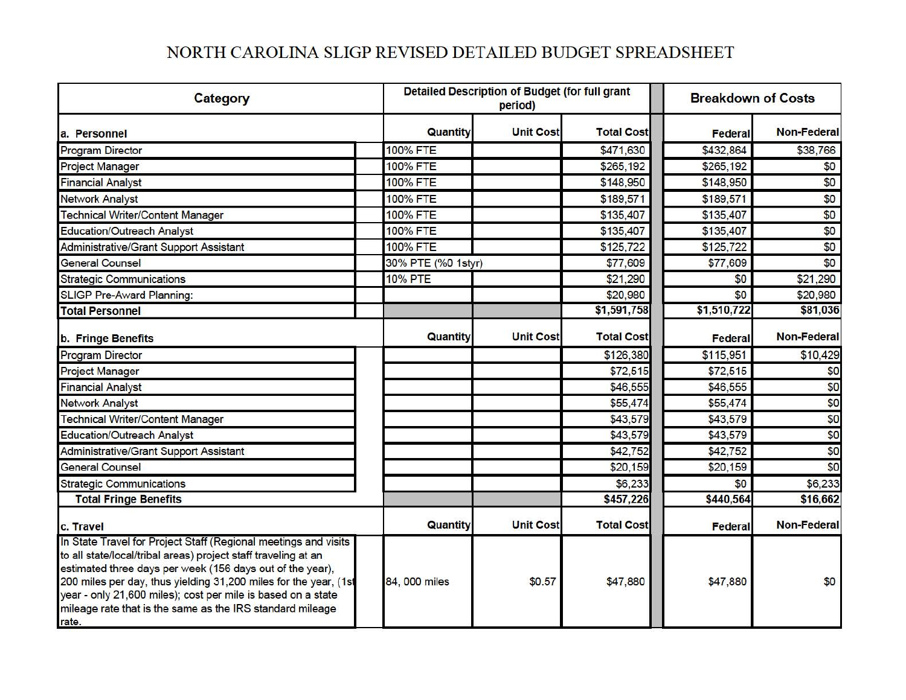# NORTH CAROLINA SLIGP REVISED DETAILED BUDGET SPREADSHEET

| Category                                                                                                                                                                                                                                                                                                                                                                                                 |                    | Detailed Description of Budget (for full grant<br>period) |                   |             | <b>Breakdown of Costs</b> |  |
|----------------------------------------------------------------------------------------------------------------------------------------------------------------------------------------------------------------------------------------------------------------------------------------------------------------------------------------------------------------------------------------------------------|--------------------|-----------------------------------------------------------|-------------------|-------------|---------------------------|--|
| a. Personnel                                                                                                                                                                                                                                                                                                                                                                                             | Quantity           | <b>Unit Cost</b>                                          | <b>Total Cost</b> | Federal     | <b>Non-Federal</b>        |  |
| <b>Program Director</b>                                                                                                                                                                                                                                                                                                                                                                                  | 100% FTE           |                                                           | \$471,630         | \$432,864   | \$38,766                  |  |
| <b>Project Manager</b>                                                                                                                                                                                                                                                                                                                                                                                   | <b>100% FTE</b>    |                                                           | \$265,192         | \$265,192   | \$0                       |  |
| <b>Financial Analyst</b>                                                                                                                                                                                                                                                                                                                                                                                 | <b>100% FTE</b>    |                                                           | \$148,950         | \$148,950   | \$0                       |  |
| <b>Network Analyst</b>                                                                                                                                                                                                                                                                                                                                                                                   | <b>100% FTE</b>    |                                                           | \$189,571         | \$189,571   | \$0                       |  |
| <b>Technical Writer/Content Manager</b>                                                                                                                                                                                                                                                                                                                                                                  | <b>100% FTE</b>    |                                                           | \$135,407         | \$135,407   | \$0                       |  |
| <b>Education/Outreach Analyst</b>                                                                                                                                                                                                                                                                                                                                                                        | <b>100% FTE</b>    |                                                           | \$135,407         | \$135,407   | \$0                       |  |
| Administrative/Grant Support Assistant                                                                                                                                                                                                                                                                                                                                                                   | <b>100% FTE</b>    |                                                           | \$125,722         | \$125,722   | \$0                       |  |
| <b>General Counsel</b>                                                                                                                                                                                                                                                                                                                                                                                   | 30% PTE (%0 1styr) |                                                           | \$77,609          | \$77,609    | \$0                       |  |
| <b>Strategic Communications</b>                                                                                                                                                                                                                                                                                                                                                                          | <b>10% PTE</b>     |                                                           | \$21,290          | \$0         | \$21,290                  |  |
| <b>SLIGP Pre-Award Planning:</b>                                                                                                                                                                                                                                                                                                                                                                         |                    |                                                           | \$20,980          | \$0         | \$20,980                  |  |
| <b>Total Personnel</b>                                                                                                                                                                                                                                                                                                                                                                                   |                    |                                                           | \$1,591,758       | \$1,510,722 | \$81,036                  |  |
| b. Fringe Benefits                                                                                                                                                                                                                                                                                                                                                                                       | Quantity           | <b>Unit Cost</b>                                          | <b>Total Cost</b> | Federal     | <b>Non-Federal</b>        |  |
| <b>Program Director</b>                                                                                                                                                                                                                                                                                                                                                                                  |                    |                                                           | \$126,380         | \$115,951   | \$10,429                  |  |
| <b>Project Manager</b>                                                                                                                                                                                                                                                                                                                                                                                   |                    |                                                           | \$72,515          | \$72,515    | \$0                       |  |
| <b>Financial Analyst</b>                                                                                                                                                                                                                                                                                                                                                                                 |                    |                                                           | \$46,555          | \$46,555    | \$0                       |  |
| <b>Network Analyst</b>                                                                                                                                                                                                                                                                                                                                                                                   |                    |                                                           | \$55,474          | \$55,474    | \$0                       |  |
| <b>Technical Writer/Content Manager</b>                                                                                                                                                                                                                                                                                                                                                                  |                    |                                                           | \$43,579          | \$43,579    | \$0                       |  |
| <b>Education/Outreach Analyst</b>                                                                                                                                                                                                                                                                                                                                                                        |                    |                                                           | \$43,579          | \$43,579    | \$0                       |  |
| Administrative/Grant Support Assistant                                                                                                                                                                                                                                                                                                                                                                   |                    |                                                           | \$42,752          | \$42,752    | \$0                       |  |
| <b>General Counsel</b>                                                                                                                                                                                                                                                                                                                                                                                   |                    |                                                           | \$20,159          | \$20,159    | \$0                       |  |
| <b>Strategic Communications</b>                                                                                                                                                                                                                                                                                                                                                                          |                    |                                                           | \$6,233           | \$0         | \$6,233                   |  |
| <b>Total Fringe Benefits</b>                                                                                                                                                                                                                                                                                                                                                                             |                    |                                                           | \$457,226         | \$440,564   | \$16,662                  |  |
| c. Travel                                                                                                                                                                                                                                                                                                                                                                                                | Quantity           | <b>Unit Cost</b>                                          | <b>Total Cost</b> | Federal     | <b>Non-Federal</b>        |  |
| In State Travel for Project Staff (Regional meetings and visits<br>to all state/local/tribal areas) project staff traveling at an<br>estimated three days per week (156 days out of the year),<br>200 miles per day, thus yielding 31,200 miles for the year, (1st<br>year - only 21,600 miles); cost per mile is based on a state<br>mileage rate that is the same as the IRS standard mileage<br>rate. | 84, 000 miles      | \$0.57                                                    | \$47,880          | \$47,880    | \$0                       |  |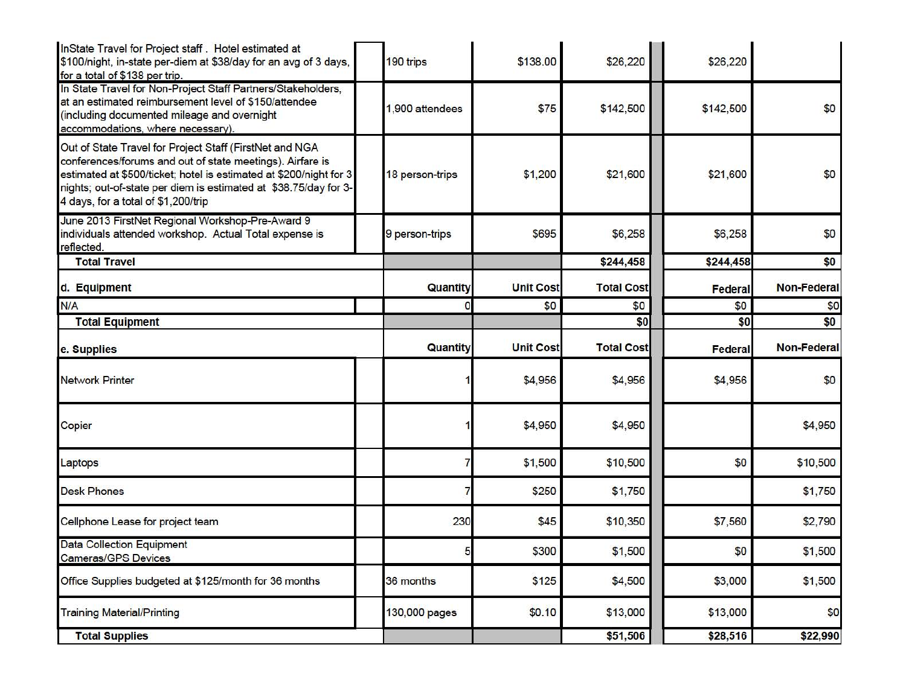| InState Travel for Project staff . Hotel estimated at<br>\$100/night, in-state per-diem at \$38/day for an avg of 3 days,<br>for a total of \$138 per trip.                                                                                                                                           | 190 trips       | \$138.00         | \$26,220          | \$26,220       |                    |
|-------------------------------------------------------------------------------------------------------------------------------------------------------------------------------------------------------------------------------------------------------------------------------------------------------|-----------------|------------------|-------------------|----------------|--------------------|
| In State Travel for Non-Project Staff Partners/Stakeholders,<br>at an estimated reimbursement level of \$150/attendee<br>(including documented mileage and overnight<br>accommodations, where necessary).                                                                                             | 1,900 attendees | \$75             | \$142,500         | \$142,500      | \$0                |
| Out of State Travel for Project Staff (FirstNet and NGA<br>conferences/forums and out of state meetings). Airfare is<br>estimated at \$500/ticket; hotel is estimated at \$200/night for 3<br>nights; out-of-state per diem is estimated at \$38.75/day for 3-<br>4 days, for a total of \$1,200/trip | 18 person-trips | \$1,200          | \$21,600          | \$21,600       | \$0                |
| June 2013 FirstNet Regional Workshop-Pre-Award 9<br>individuals attended workshop. Actual Total expense is<br>reflected.                                                                                                                                                                              | 9 person-trips  | \$695            | \$6,258           | \$6,258        | \$0                |
| <b>Total Travel</b>                                                                                                                                                                                                                                                                                   |                 |                  | \$244,458         | \$244,458      | \$0                |
| d. Equipment                                                                                                                                                                                                                                                                                          | Quantity        | <b>Unit Cost</b> | <b>Total Cost</b> | <b>Federal</b> | <b>Non-Federal</b> |
| N/A                                                                                                                                                                                                                                                                                                   |                 | \$0              | \$0               | \$0            | \$0                |
| <b>Total Equipment</b>                                                                                                                                                                                                                                                                                |                 |                  | \$0               | \$0            | \$0                |
| e. Supplies                                                                                                                                                                                                                                                                                           | Quantity        | <b>Unit Cost</b> | <b>Total Cost</b> | <b>Federal</b> | <b>Non-Federal</b> |
| <b>Network Printer</b>                                                                                                                                                                                                                                                                                |                 | \$4,956          | \$4,956           | \$4,956        | \$0                |
| Copier                                                                                                                                                                                                                                                                                                |                 | \$4,950          | \$4,950           |                | \$4,950            |
| Laptops                                                                                                                                                                                                                                                                                               |                 | \$1,500          | \$10,500          | \$0            | \$10,500           |
| <b>Desk Phones</b>                                                                                                                                                                                                                                                                                    |                 | \$250            | \$1,750           |                | \$1,750            |
| Cellphone Lease for project team                                                                                                                                                                                                                                                                      | 230             | \$45             | \$10,350          | \$7,560        | \$2,790            |
| <b>Data Collection Equipment</b><br><b>Cameras/GPS Devices</b>                                                                                                                                                                                                                                        | 5               | \$300            | \$1,500           | \$0            | \$1,500            |
| Office Supplies budgeted at \$125/month for 36 months                                                                                                                                                                                                                                                 | 36 months       | \$125            | \$4,500           | \$3,000        | \$1,500            |
| <b>Training Material/Printing</b>                                                                                                                                                                                                                                                                     | 130,000 pages   | \$0.10           | \$13,000          | \$13,000       | \$0                |
| <b>Total Supplies</b>                                                                                                                                                                                                                                                                                 |                 |                  | \$51,506          | \$28,516       | \$22,990           |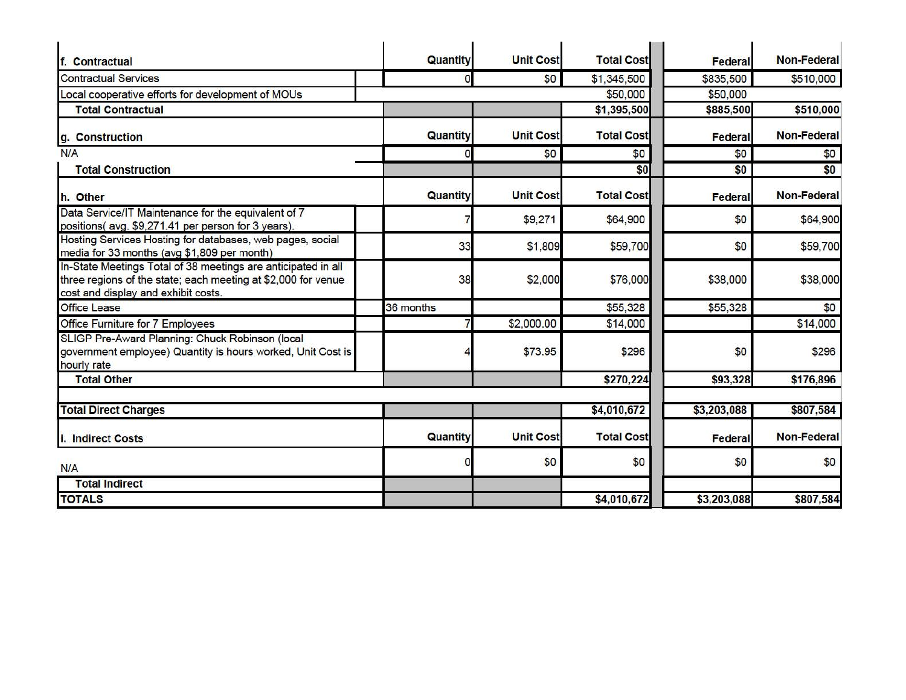| f. Contractual                                                                                                                                                        | Quantity  | <b>Unit Cost</b> | <b>Total Cost</b> | <b>Federal</b> | <b>Non-Federal</b> |
|-----------------------------------------------------------------------------------------------------------------------------------------------------------------------|-----------|------------------|-------------------|----------------|--------------------|
| <b>Contractual Services</b>                                                                                                                                           | O         | \$0              | \$1,345,500       | \$835,500      | \$510,000          |
| Local cooperative efforts for development of MOUs                                                                                                                     |           |                  | \$50,000          | \$50,000       |                    |
| <b>Total Contractual</b>                                                                                                                                              |           |                  | \$1,395,500       | \$885,500      | \$510,000          |
|                                                                                                                                                                       |           |                  |                   |                |                    |
| g. Construction                                                                                                                                                       | Quantity  | <b>Unit Cost</b> | <b>Total Cost</b> | <b>Federal</b> | <b>Non-Federal</b> |
| N/A                                                                                                                                                                   |           | \$0              | \$0               | \$0            | \$0                |
| <b>Total Construction</b>                                                                                                                                             |           |                  | \$0               | \$0            | \$0                |
| h. Other                                                                                                                                                              | Quantity  | <b>Unit Cost</b> | <b>Total Cost</b> | Federal        | <b>Non-Federal</b> |
| Data Service/IT Maintenance for the equivalent of 7<br>positions(avg. \$9,271.41 per person for 3 years).                                                             |           | \$9,271          | \$64,900          | \$0            | \$64,900           |
| Hosting Services Hosting for databases, web pages, social<br>media for 33 months (avg \$1,809 per month)                                                              | 33        | \$1,809          | \$59,700          | \$0            | \$59,700           |
| In-State Meetings Total of 38 meetings are anticipated in all<br>three regions of the state; each meeting at \$2,000 for venue<br>cost and display and exhibit costs. | 38        | \$2,000          | \$76,000          | \$38,000       | \$38,000           |
| <b>Office Lease</b>                                                                                                                                                   | 36 months |                  | \$55,328          | \$55,328       | \$0                |
| Office Furniture for 7 Employees                                                                                                                                      |           | \$2,000.00       | \$14,000          |                | \$14,000           |
| SLIGP Pre-Award Planning: Chuck Robinson (local<br>government employee) Quantity is hours worked, Unit Cost is<br>hourly rate                                         |           | \$73.95          | \$296             | \$0            | \$296              |
| <b>Total Other</b>                                                                                                                                                    |           |                  | \$270,224         | \$93,328       | \$176,896          |
| <b>Total Direct Charges</b>                                                                                                                                           |           |                  | \$4,010,672       | \$3,203,088    | \$807,584          |
| <b>Indirect Costs</b><br>i.                                                                                                                                           | Quantity  | <b>Unit Cost</b> | <b>Total Cost</b> | <b>Federal</b> | <b>Non-Federal</b> |
| N/A                                                                                                                                                                   |           | \$0              | \$0               | \$0            | \$0                |
| <b>Total Indirect</b>                                                                                                                                                 |           |                  |                   |                |                    |
| <b>TOTALS</b>                                                                                                                                                         |           |                  | \$4,010,672       | \$3,203,088    | \$807,584          |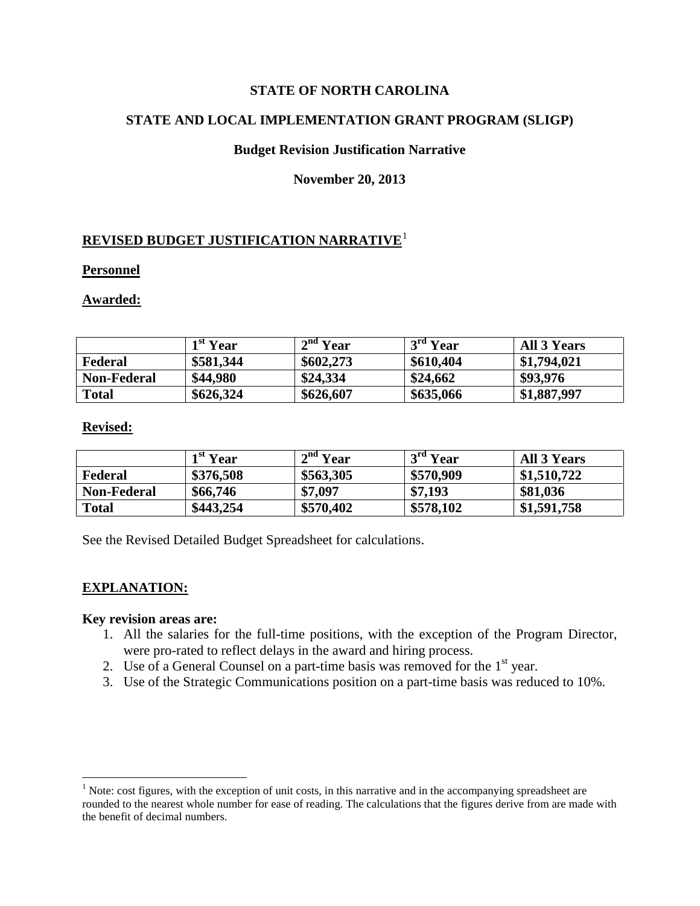#### **STATE OF NORTH CAROLINA**

#### **STATE AND LOCAL IMPLEMENTATION GRANT PROGRAM (SLIGP)**

#### **Budget Revision Justification Narrative**

#### **November 20, 2013**

#### **REVISED BUDGET JUSTIFICATION NARRATIVE**<sup>1</sup>

#### **Personnel**

#### **Awarded:**

|                    | 1 <sup>st</sup> Year | 2 <sup>nd</sup> Year | $3rd$ Year | <b>All 3 Years</b> |
|--------------------|----------------------|----------------------|------------|--------------------|
| Federal            | \$581,344            | \$602,273            | \$610,404  | \$1,794,021        |
| <b>Non-Federal</b> | \$44,980             | \$24,334             | \$24,662   | \$93,976           |
| Total              | \$626,324            | \$626,607            | \$635,066  | \$1,887,997        |

#### **Revised:**

|                    | 1 <sup>st</sup> Year | 2 <sup>nd</sup> Year | $3rd$ Year | <b>All 3 Years</b> |
|--------------------|----------------------|----------------------|------------|--------------------|
| Federal            | \$376,508            | \$563,305            | \$570,909  | \$1,510,722        |
| <b>Non-Federal</b> | \$66,746             | \$7,097              | \$7,193    | \$81,036           |
| <b>Total</b>       | \$443,254            | \$570,402            | \$578,102  | \$1,591,758        |

See the Revised Detailed Budget Spreadsheet for calculations.

#### **EXPLANATION:**

 $\overline{a}$ 

- 1. All the salaries for the full-time positions, with the exception of the Program Director, were pro-rated to reflect delays in the award and hiring process.
- 2. Use of a General Counsel on a part-time basis was removed for the  $1<sup>st</sup>$  year.
- 3. Use of the Strategic Communications position on a part-time basis was reduced to 10%.

 $<sup>1</sup>$  Note: cost figures, with the exception of unit costs, in this narrative and in the accompanying spreadsheet are</sup> rounded to the nearest whole number for ease of reading. The calculations that the figures derive from are made with the benefit of decimal numbers.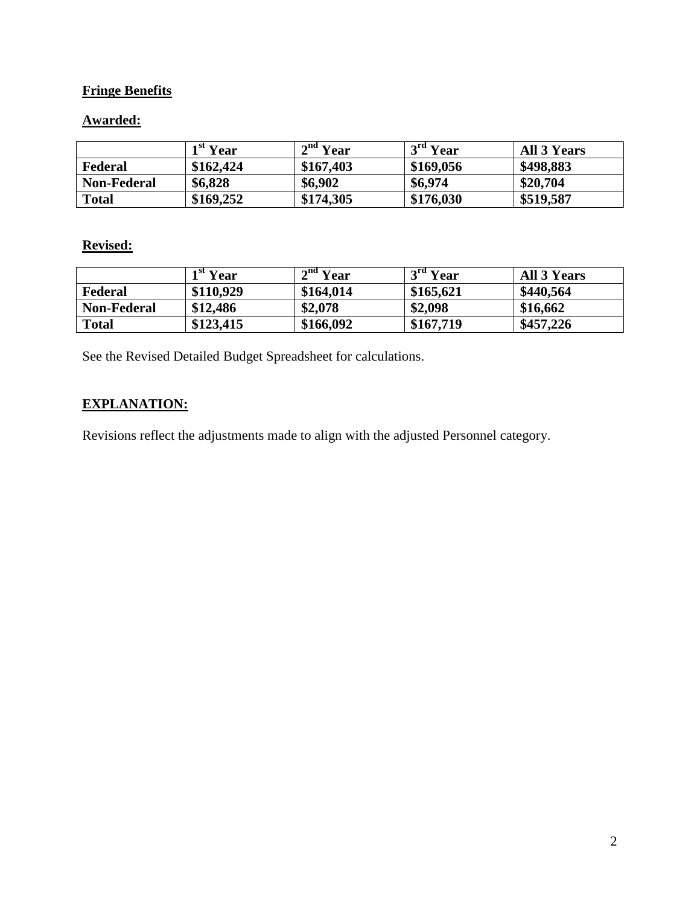## **Fringe Benefits**

## **Awarded:**

|                    | 1 <sup>st</sup> Year | 2 <sup>nd</sup> Year | $3rd$ Year | All 3 Years |
|--------------------|----------------------|----------------------|------------|-------------|
| Federal            | \$162,424            | \$167,403            | \$169,056  | \$498,883   |
| <b>Non-Federal</b> | \$6,828              | \$6,902              | \$6,974    | \$20,704    |
| <b>Total</b>       | \$169,252            | \$174,305            | \$176,030  | \$519,587   |

#### **Revised:**

|                    | 1 <sup>st</sup> Year | $2nd$ Year | $12^{\text{rd}}$ Year | <b>All 3 Years</b> |
|--------------------|----------------------|------------|-----------------------|--------------------|
| Federal            | \$110,929            | \$164,014  | \$165,621             | \$440,564          |
| <b>Non-Federal</b> | \$12,486             | \$2,078    | \$2,098               | \$16,662           |
| <b>Total</b>       | \$123,415            | \$166,092  | \$167,719             | \$457,226          |

See the Revised Detailed Budget Spreadsheet for calculations.

## **EXPLANATION:**

Revisions reflect the adjustments made to align with the adjusted Personnel category.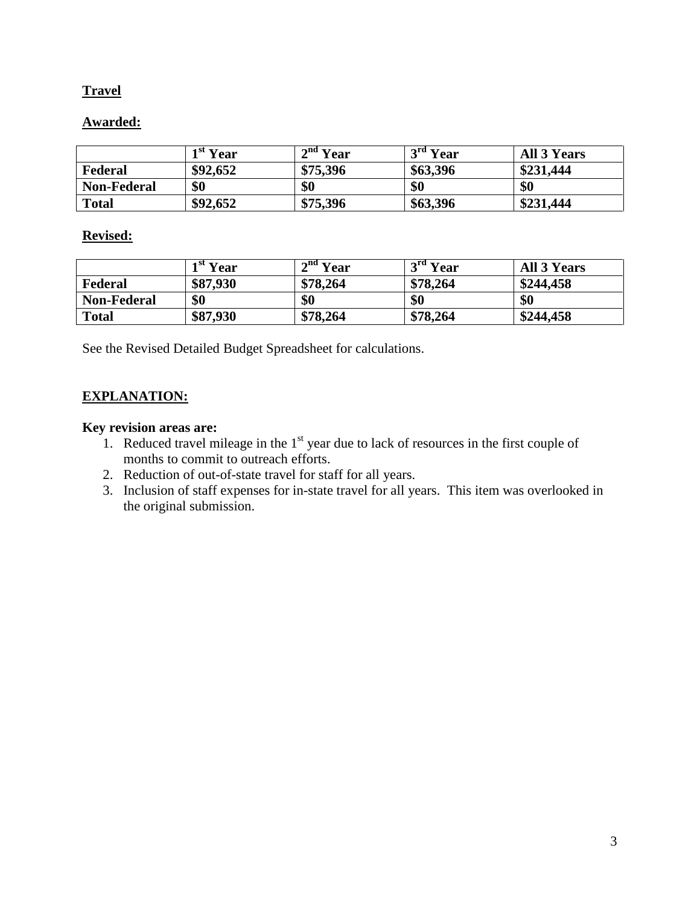## **Travel**

## **Awarded:**

|                    | 1 <sup>st</sup> Year | 2 <sup>nd</sup> Year | $3rd$ Year | <b>All 3 Years</b> |
|--------------------|----------------------|----------------------|------------|--------------------|
| Federal            | \$92,652             | \$75,396             | \$63,396   | \$231,444          |
| <b>Non-Federal</b> | \$0                  | \$0                  | \$0        | \$0                |
| <b>Total</b>       | \$92,652             | \$75,396             | \$63,396   | \$231,444          |

## **Revised:**

|                    | $1st$ Year | $\mathbf{r}$ <sup>nd</sup> Year | $3rd$ Year | <b>All 3 Years</b> |
|--------------------|------------|---------------------------------|------------|--------------------|
| Federal            | \$87,930   | \$78,264                        | \$78,264   | \$244,458          |
| <b>Non-Federal</b> | \$0        | \$0                             | \$0        | \$0                |
| <b>Total</b>       | \$87,930   | \$78,264                        | \$78,264   | \$244,458          |

See the Revised Detailed Budget Spreadsheet for calculations.

## **EXPLANATION:**

- 1. Reduced travel mileage in the  $1<sup>st</sup>$  year due to lack of resources in the first couple of months to commit to outreach efforts.
- 2. Reduction of out-of-state travel for staff for all years.
- 3. Inclusion of staff expenses for in-state travel for all years. This item was overlooked in the original submission.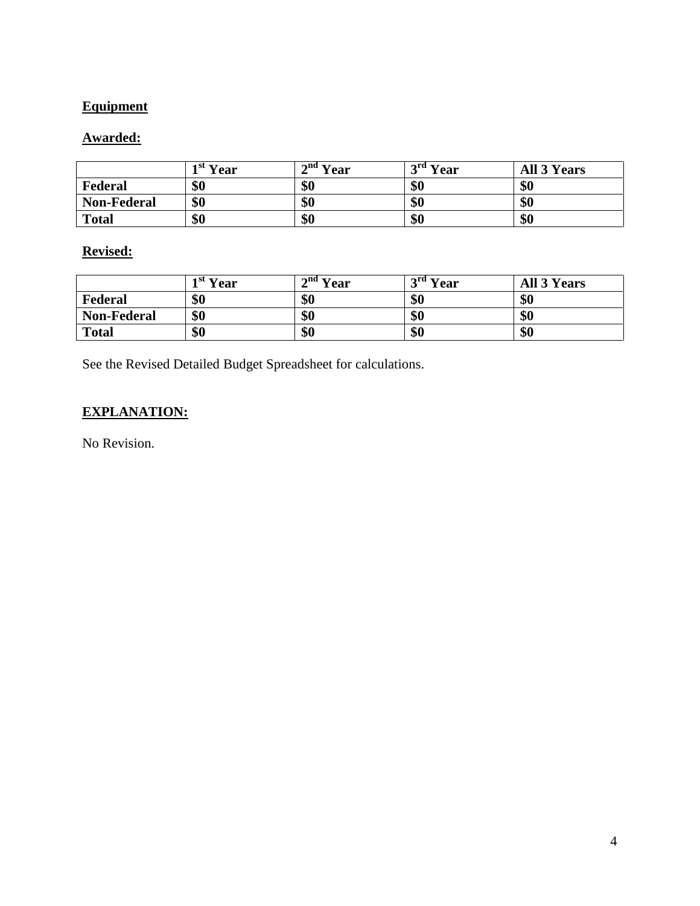# **Equipment**

## **Awarded:**

|                    | $\overline{ }$ <sup>st</sup> Year | $\mathbf{a}^{\text{nd}}$ Year | $\mathbf{r}^{\text{rd}}$ Year | <b>All 3 Years</b> |
|--------------------|-----------------------------------|-------------------------------|-------------------------------|--------------------|
| Federal            | \$0                               | \$0                           | \$0                           | \$0                |
| <b>Non-Federal</b> | \$0                               | \$0                           | \$0                           | \$0                |
| <b>Total</b>       | \$0                               | \$0                           | \$0                           | \$0                |

## **Revised:**

|                    | $\mathbf{r}$ <sup>st</sup> Year | $\mathbf{a}^{\text{nd}}$ Year | $\mathbf{r}^{\text{rd}}$ Year | <b>All 3 Years</b> |
|--------------------|---------------------------------|-------------------------------|-------------------------------|--------------------|
| Federal            | \$0                             | \$0                           | \$0                           | \$0                |
| <b>Non-Federal</b> | \$0                             | \$0                           | \$0                           | \$0                |
| <b>Total</b>       | \$0                             | \$0                           | \$0                           | \$0                |

See the Revised Detailed Budget Spreadsheet for calculations.

# **EXPLANATION:**

No Revision.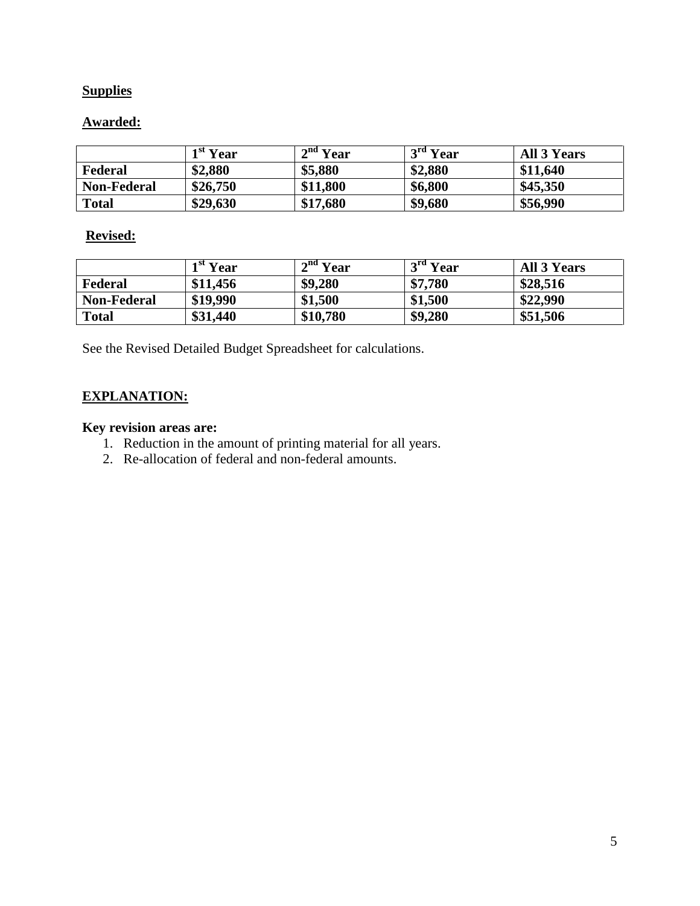## **Supplies**

## **Awarded:**

|                    | 1 <sup>st</sup> Year | 2 <sup>nd</sup> Year | $3rd$ Year | <b>All 3 Years</b> |
|--------------------|----------------------|----------------------|------------|--------------------|
| Federal            | \$2,880              | \$5,880              | \$2,880    | \$11,640           |
| <b>Non-Federal</b> | \$26,750             | \$11,800             | \$6,800    | \$45,350           |
| <b>Total</b>       | \$29,630             | \$17,680             | \$9,680    | \$56,990           |

## **Revised:**

|                    | 1 <sup>st</sup> Year | $\mathbf{a}^{\text{nd}}\overline{\mathbf{Y}}$ ear | $3rd$ Year | <b>All 3 Years</b> |
|--------------------|----------------------|---------------------------------------------------|------------|--------------------|
| Federal            | \$11,456             | \$9,280                                           | \$7,780    | \$28,516           |
| <b>Non-Federal</b> | \$19,990             | \$1,500                                           | \$1,500    | \$22,990           |
| <b>Total</b>       | \$31,440             | \$10,780                                          | \$9,280    | \$51,506           |

See the Revised Detailed Budget Spreadsheet for calculations.

## **EXPLANATION:**

- 1. Reduction in the amount of printing material for all years.
- 2. Re-allocation of federal and non-federal amounts.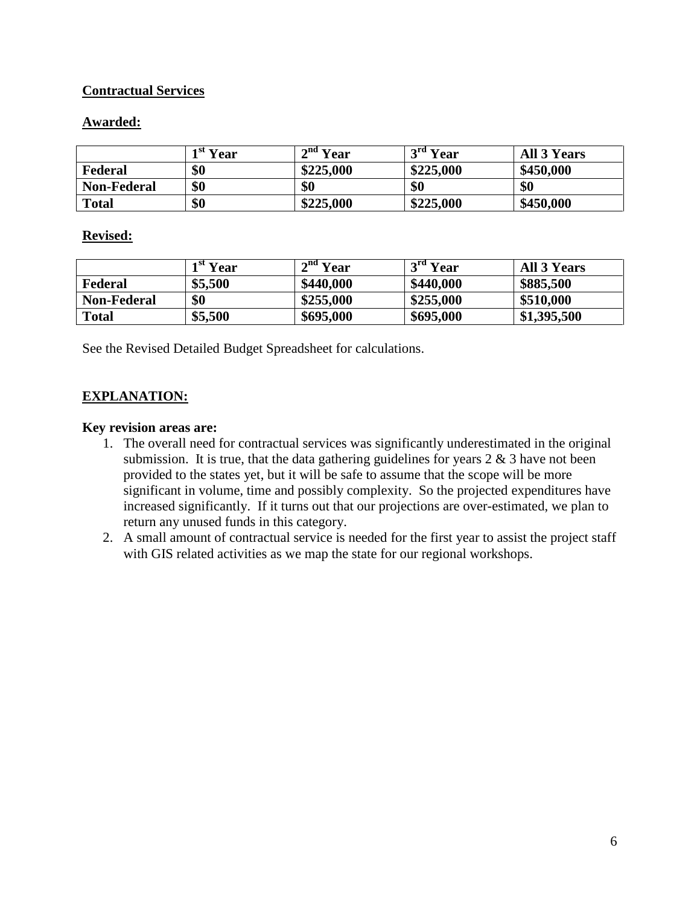## **Contractual Services**

## **Awarded:**

|                    | $\overline{Y}$ <sup>st</sup> $\overline{Y}$ ear | $\mathbf{a}^{\text{nd}}\mathbf{V}$ ear | $\mathbf{r}$ <sup>rd</sup> Year | <b>All 3 Years</b> |
|--------------------|-------------------------------------------------|----------------------------------------|---------------------------------|--------------------|
| Federal            | \$0                                             | \$225,000                              | \$225,000                       | \$450,000          |
| <b>Non-Federal</b> | \$0                                             | \$0                                    | \$0                             | \$0                |
| <b>Total</b>       | \$0                                             | \$225,000                              | \$225,000                       | \$450,000          |

#### **Revised:**

|                    | 1 <sup>st</sup> Year | 2 <sup>nd</sup> Year | $3rd$ Year | <b>All 3 Years</b> |
|--------------------|----------------------|----------------------|------------|--------------------|
| Federal            | \$5,500              | \$440,000            | \$440,000  | \$885,500          |
| <b>Non-Federal</b> | \$0                  | \$255,000            | \$255,000  | \$510,000          |
| <b>Total</b>       | \$5,500              | \$695,000            | \$695,000  | \$1,395,500        |

See the Revised Detailed Budget Spreadsheet for calculations.

## **EXPLANATION:**

- 1. The overall need for contractual services was significantly underestimated in the original submission. It is true, that the data gathering guidelines for years  $2 \& 3$  have not been provided to the states yet, but it will be safe to assume that the scope will be more significant in volume, time and possibly complexity. So the projected expenditures have increased significantly. If it turns out that our projections are over-estimated, we plan to return any unused funds in this category.
- 2. A small amount of contractual service is needed for the first year to assist the project staff with GIS related activities as we map the state for our regional workshops.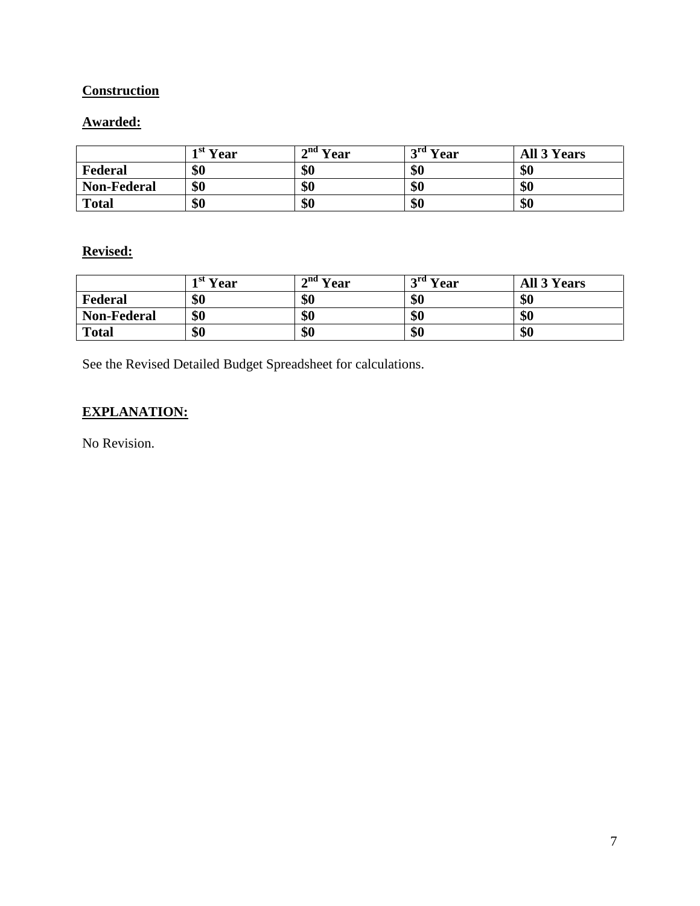# **Construction**

# **Awarded:**

|                    | $\overline{ }$ <sup>st</sup> Year | $\mathbf{a}^{\text{nd}}$ Year | $\bm{\gamma}$ rd<br>Year<br>ັ | <b>All 3 Years</b> |
|--------------------|-----------------------------------|-------------------------------|-------------------------------|--------------------|
| Federal            | \$0                               | \$0                           | \$0                           | \$0                |
| <b>Non-Federal</b> | \$0                               | \$0                           | \$0                           | \$0                |
| <b>Total</b>       | \$0                               | \$0                           | \$0                           | \$0                |

## **Revised:**

|                    | $\rightarrow$ <sup>st</sup> Year | $\mathbf{a}^{\text{nd}}$ Year | $\mathbf{r}^{\text{ref}}$ Year | <b>All 3 Years</b> |
|--------------------|----------------------------------|-------------------------------|--------------------------------|--------------------|
| Federal            | \$0                              | \$0                           | \$0                            | \$0                |
| <b>Non-Federal</b> | \$0                              | \$0                           | \$0                            | \$0                |
| <b>Total</b>       | \$0                              | \$0                           | \$0                            | \$0                |

See the Revised Detailed Budget Spreadsheet for calculations.

# **EXPLANATION:**

No Revision.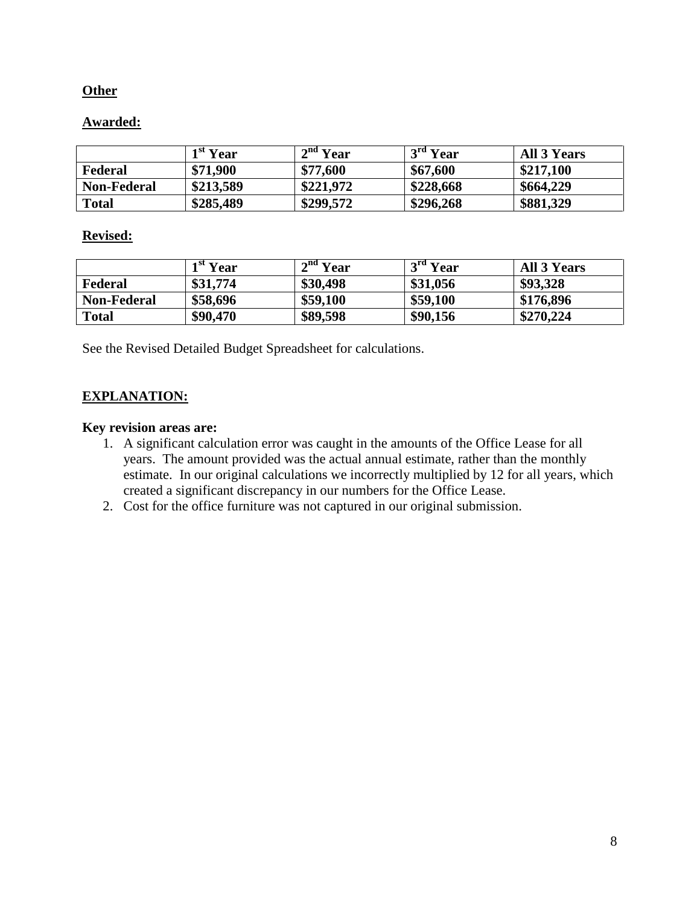#### **Other**

## **Awarded:**

|                    | 1 <sup>st</sup> Year | 2 <sup>nd</sup> Year | $3rd$ Year | All 3 Years |
|--------------------|----------------------|----------------------|------------|-------------|
| Federal            | \$71,900             | \$77,600             | \$67,600   | \$217,100   |
| <b>Non-Federal</b> | \$213,589            | \$221,972            | \$228,668  | \$664,229   |
| <b>Total</b>       | \$285,489            | \$299,572            | \$296,268  | \$881,329   |

#### **Revised:**

|                    | 1 <sup>st</sup> Year | $\mathbf{r}^{\text{nd}}$ $\overline{\mathbf{Y}}$ ear | $3rd$ Year | <b>All 3 Years</b> |
|--------------------|----------------------|------------------------------------------------------|------------|--------------------|
| Federal            | \$31,774             | \$30,498                                             | \$31,056   | \$93,328           |
| <b>Non-Federal</b> | \$58,696             | \$59,100                                             | \$59,100   | \$176,896          |
| <b>Total</b>       | \$90,470             | \$89,598                                             | \$90,156   | \$270,224          |

See the Revised Detailed Budget Spreadsheet for calculations.

## **EXPLANATION:**

- 1. A significant calculation error was caught in the amounts of the Office Lease for all years. The amount provided was the actual annual estimate, rather than the monthly estimate. In our original calculations we incorrectly multiplied by 12 for all years, which created a significant discrepancy in our numbers for the Office Lease.
- 2. Cost for the office furniture was not captured in our original submission.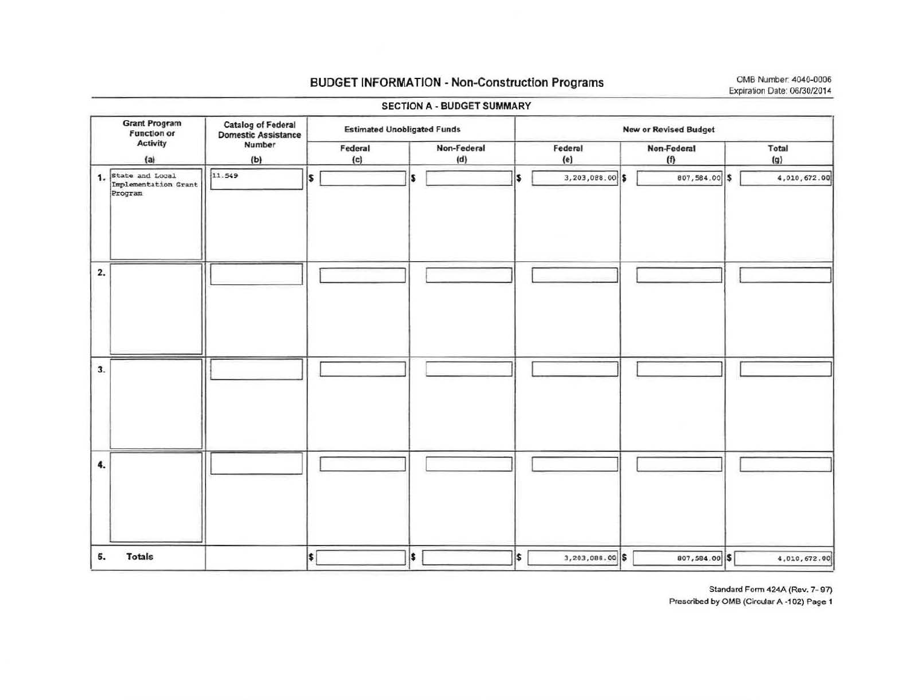#### **BUDGET INFORMATION - Non-Construction Programs**

|                        | <b>Grant Program</b><br><b>Function or</b> | <b>Catalog of Federal</b><br><b>Domestic Assistance</b> | <b>Estimated Unobligated Funds</b> |                    |                          | <b>New or Revised Budget</b> |              |  |  |  |
|------------------------|--------------------------------------------|---------------------------------------------------------|------------------------------------|--------------------|--------------------------|------------------------------|--------------|--|--|--|
| <b>Activity</b><br>(a) |                                            | Number<br>(b)                                           | Federal<br>(c)                     | Non-Federal<br>(d) | Federal<br>(e)           | Non-Federal<br>(f)           | Total<br>(g) |  |  |  |
|                        | 1. State and Local<br>Implementation Grant | 11.549                                                  | \$                                 | S                  | 3,203,088.00 \$<br>l\$   | 807,584.00 \$                | 4,010,672.00 |  |  |  |
| 2.                     |                                            |                                                         |                                    |                    |                          |                              |              |  |  |  |
| 3.                     |                                            |                                                         |                                    |                    |                          |                              |              |  |  |  |
| 4.                     |                                            |                                                         |                                    |                    |                          |                              |              |  |  |  |
| 5.                     | <b>Totals</b>                              |                                                         | \$                                 | <sup>5</sup>       | l\$<br>$3,203,088.00$ \$ | 807,584.00 \$                | 4,010,672.00 |  |  |  |

#### **SECTION A - BUDGET SUMMARY**

Standard Form 424A (Rev. 7-97) Prescribed by OMB (Circular A -102) Page 1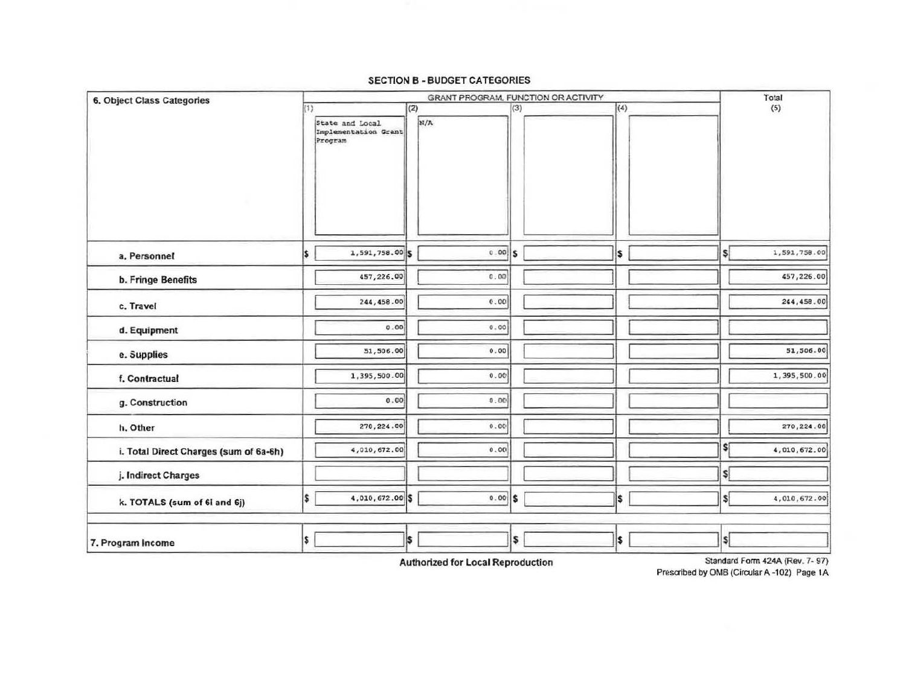#### **SECTION B - BUDGET CATEGORIES**

| 6. Object Class Categories             |                |                                         |     |                             |     | GRANT PROGRAM, FUNCTION OR ACTIVITY |     |                             | Total        |
|----------------------------------------|----------------|-----------------------------------------|-----|-----------------------------|-----|-------------------------------------|-----|-----------------------------|--------------|
|                                        | (1)<br>Program | State and Local<br>Implementation Grant | (2) | $\vert x \rangle / \Lambda$ | (3) |                                     | (4) |                             | (5)          |
| a. Personnel                           | \$.            | 1,591,758.00 \$                         |     | $0.00$ $S$                  |     |                                     | \$  | \$                          | 1,591,758.00 |
| <b>b. Fringe Benefits</b>              |                | 457,226.00                              |     | 0.00                        |     |                                     |     |                             | 457,226.00   |
| c. Travel                              |                | 244, 458.00                             |     | 0.00                        |     |                                     |     |                             | 244,458.00   |
| d. Equipment                           |                | 0.00                                    |     | 0.00                        |     |                                     |     |                             |              |
| e. Supplies                            |                | 51,506.00                               |     | 0.00                        |     |                                     |     |                             | 51,506.00    |
| f. Contractual                         |                | 1,395,500.00                            |     | 0.00                        |     |                                     |     |                             | 1,395,500.00 |
| g. Construction                        |                | 0.00                                    |     | 0.00                        |     |                                     |     |                             |              |
| h. Other                               |                | 270,224.00                              |     | 0.00                        |     |                                     |     |                             | 270,224.00   |
| i. Total Direct Charges (sum of 6a-6h) |                | 4,010,672.00                            |     | 0.00                        |     |                                     |     | \$ſ                         | 4,010,672.00 |
| j. Indirect Charges                    |                |                                         |     |                             |     |                                     |     | \$ļ                         |              |
| k. TOTALS (sum of 6I and 6j)           | \$             | 4,010,672.00 \$                         |     | $0.00$ \$                   |     |                                     | \$  | \$                          | 4,010,672.00 |
| 7. Program Income                      | \$             |                                         | I\$ |                             | \$  |                                     | l\$ | $\left  \mathbf{s} \right $ |              |

**Authorized for Local Reproduction** 

Standard Form 424A (Rev. 7- 97) Prescribed by OMB (Circular A-102) Page 1A